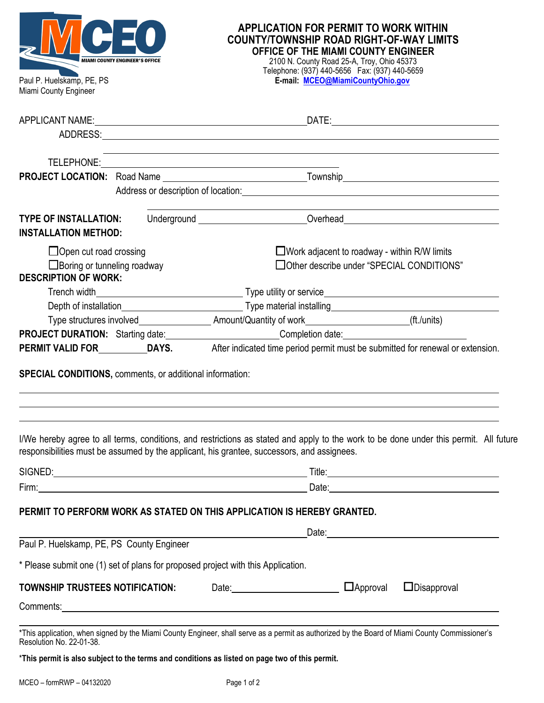| MIAMI COUNTY ENGINEER'S OFFICE                                                                                                                                                                          |  | <b>APPLICATION FOR PERMIT TO WORK WITHIN</b><br><b>COUNTY/TOWNSHIP ROAD RIGHT-OF-WAY LIMITS</b><br>OFFICE OF THE MIAMI COUNTY ENGINEER<br>2100 N. County Road 25-A, Troy, Ohio 45373<br>Telephone: (937) 440-5656  Fax: (937) 440-5659                                                                        |                 |                    |  |
|---------------------------------------------------------------------------------------------------------------------------------------------------------------------------------------------------------|--|---------------------------------------------------------------------------------------------------------------------------------------------------------------------------------------------------------------------------------------------------------------------------------------------------------------|-----------------|--------------------|--|
| Paul P. Huelskamp, PE, PS<br>Miami County Engineer                                                                                                                                                      |  | E-mail: MCEO@MiamiCountyOhio.gov                                                                                                                                                                                                                                                                              |                 |                    |  |
|                                                                                                                                                                                                         |  |                                                                                                                                                                                                                                                                                                               |                 |                    |  |
|                                                                                                                                                                                                         |  | Address or description of location: Notified the state of the state of the state of the state of the state of the state of the state of the state of the state of the state of the state of the state of the state of the stat                                                                                |                 |                    |  |
| <b>TYPE OF INSTALLATION:</b><br><b>INSTALLATION METHOD:</b>                                                                                                                                             |  | Underground __________________________Overhead__________________________________                                                                                                                                                                                                                              |                 |                    |  |
| $\Box$ Work adjacent to roadway - within R/W limits<br>$\Box$ Open cut road crossing<br>□Other describe under "SPECIAL CONDITIONS"<br>$\Box$ Boring or tunneling roadway<br><b>DESCRIPTION OF WORK:</b> |  |                                                                                                                                                                                                                                                                                                               |                 |                    |  |
|                                                                                                                                                                                                         |  |                                                                                                                                                                                                                                                                                                               |                 |                    |  |
|                                                                                                                                                                                                         |  | Type structures involved_______________________Amount/Quantity of work___________________________(ft./units)<br><b>PROJECT DURATION:</b> Starting date: Completion date: Completion date:<br>PERMIT VALID FOR ___________DAYS. After indicated time period permit must be submitted for renewal or extension. |                 |                    |  |
| <b>SPECIAL CONDITIONS, comments, or additional information:</b>                                                                                                                                         |  |                                                                                                                                                                                                                                                                                                               |                 |                    |  |
|                                                                                                                                                                                                         |  | I/We hereby agree to all terms, conditions, and restrictions as stated and apply to the work to be done under this permit. All future<br>responsibilities must be assumed by the applicant, his grantee, successors, and assignees.                                                                           |                 |                    |  |
|                                                                                                                                                                                                         |  | SIGNED: Title: Title: Title: Title: Title: Title: Title: Title: Title: Title: Title: Title: Title: Title: Title: Title: Title: Title: Title: Title: Title: Title: Title: Title: Title: Title: Title: Title: Title: Title: Titl                                                                                |                 |                    |  |
|                                                                                                                                                                                                         |  |                                                                                                                                                                                                                                                                                                               |                 |                    |  |
|                                                                                                                                                                                                         |  | PERMIT TO PERFORM WORK AS STATED ON THIS APPLICATION IS HEREBY GRANTED.                                                                                                                                                                                                                                       |                 |                    |  |
| Paul P. Huelskamp, PE, PS County Engineer                                                                                                                                                               |  |                                                                                                                                                                                                                                                                                                               |                 |                    |  |
|                                                                                                                                                                                                         |  | * Please submit one (1) set of plans for proposed project with this Application.                                                                                                                                                                                                                              |                 |                    |  |
| TOWNSHIP TRUSTEES NOTIFICATION:                                                                                                                                                                         |  | Date: 2000                                                                                                                                                                                                                                                                                                    | $\Box$ Approval | $\Box$ Disapproval |  |
| Resolution No. 22-01-38.                                                                                                                                                                                |  | *This application, when signed by the Miami County Engineer, shall serve as a permit as authorized by the Board of Miami County Commissioner's                                                                                                                                                                |                 |                    |  |

\***This permit is also subject to the terms and conditions as listed on page two of this permit.**